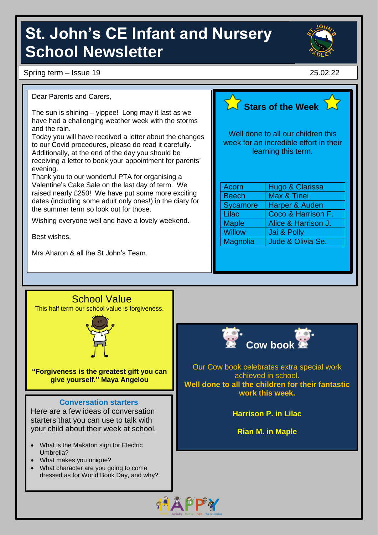# **St. John's CE Infant and Nursery School Newsletter**

Spring term – Issue 19 25.02.22



Dear Parents and Carers,

The sun is shining – yippee! Long may it last as we have had a challenging weather week with the storms and the rain.

Today you will have received a letter about the changes to our Covid procedures, please do read it carefully. Additionally, at the end of the day you should be receiving a letter to book your appointment for parents' evening.

Thank you to our wonderful PTA for organising a Valentine's Cake Sale on the last day of term. We raised nearly £250! We have put some more exciting dates (including some adult only ones!) in the diary for the summer term so look out for those.

Wishing everyone well and have a lovely weekend.

Best wishes,

Mrs Aharon & all the St John's Team.



Well done to all our children this week for an incredible effort in their learning this term.

| <b>Acorn</b>  | Hugo & Clarissa     |  |
|---------------|---------------------|--|
| <b>Beech</b>  | Max & Tinei         |  |
| Sycamore      | Harper & Auden      |  |
| Lilac         | Coco & Harrison F.  |  |
| <b>Maple</b>  | Alice & Harrison J. |  |
| <b>Willow</b> | Jai & Polly         |  |
| Magnolia      | Jude & Olivia Se.   |  |
|               |                     |  |

### School Value

This half term our school value is forgiveness.



**"Forgiveness is the greatest gift you can give yourself." Maya Angelou**

#### **Conversation starters**

Here are a few ideas of conversation starters that you can use to talk with your child about their week at school.

- What is the Makaton sign for Electric Umbrella?
- What makes you unique?
- What character are you going to come dressed as for World Book Day, and why?



achieved in school. **Well done to all the children for their fantastic work this week.**

**Harrison P. in Lilac**

**Rian M. in Maple**

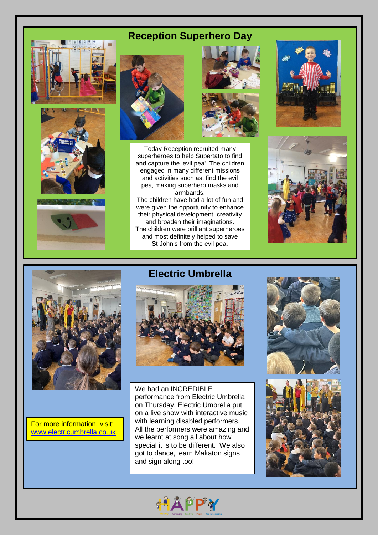# **Reception Superhero Day**











Today Reception recruited many superheroes to help Supertato to find and capture the 'evil pea'. The children engaged in many different missions and activities such as, find the evil pea, making superhero masks and armbands.

The children have had a lot of fun and were given the opportunity to enhance their physical development, creativity and broaden their imaginations. The children were brilliant superheroes and most definitely helped to save St John's from the evil pea.







For more information, visit: [www.electricumbrella.co.uk](https://www.electricumbrella.co.uk/)

## **Electric Umbrella**



We had an INCREDIBLE performance from Electric Umbrella on Thursday. Electric Umbrella put on a live show with interactive music with learning disabled performers. All the performers were amazing and we learnt at song all about how special it is to be different. We also got to dance, learn Makaton signs and sign along too!